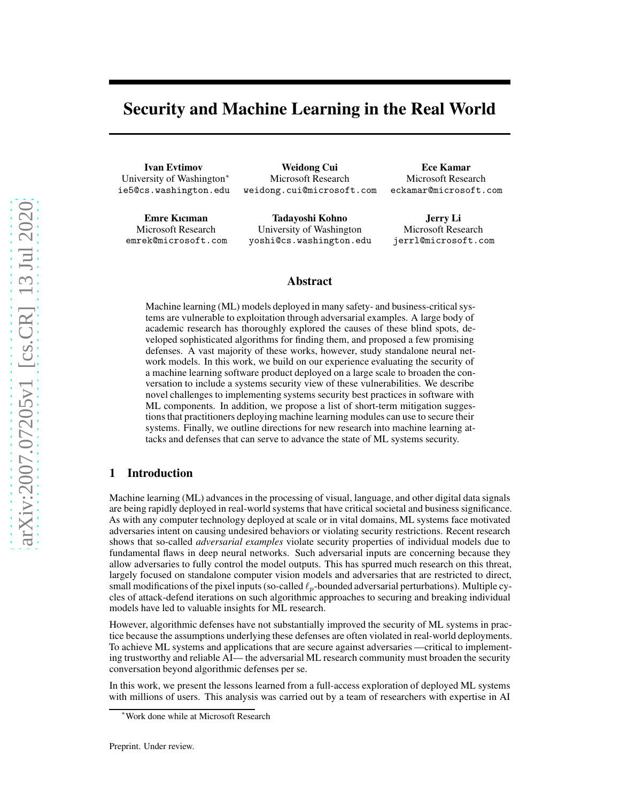# Security and Machine Learning in the Real World

Ivan Evtimov University of Washington<sup>∗</sup> ie5@cs.washington.edu

Weidong Cui Microsoft Research weidong.cui@microsoft.com

Emre Kıcıman Microsoft Research emrek@microsoft.com

Tadayoshi Kohno University of Washington yoshi@cs.washington.edu

Ece Kamar Microsoft Research eckamar@microsoft.com

Jerry Li Microsoft Research jerrl@microsoft.com

#### Abstract

Machine learning (ML) models deployed in many safety- and business-critical systems are vulnerable to exploitation through adversarial examples. A large body of academic research has thoroughly explored the causes of these blind spots, developed sophisticated algorithms for finding them, and proposed a few promising defenses. A vast majority of these works, however, study standalone neural network models. In this work, we build on our experience evaluating the security of a machine learning software product deployed on a large scale to broaden the conversation to include a systems security view of these vulnerabilities. We describe novel challenges to implementing systems security best practices in software with ML components. In addition, we propose a list of short-term mitigation suggestions that practitioners deploying machine learning modules can use to secure their systems. Finally, we outline directions for new research into machine learning attacks and defenses that can serve to advance the state of ML systems security.

## 1 Introduction

Machine learning (ML) advances in the processing of visual, language, and other digital data signals are being rapidly deployed in real-world systems that have critical societal and business significance. As with any computer technology deployed at scale or in vital domains, ML systems face motivated adversaries intent on causing undesired behaviors or violating security restrictions. Recent research shows that so-called *adversarial examples* violate security properties of individual models due to fundamental flaws in deep neural networks. Such adversarial inputs are concerning because they allow adversaries to fully control the model outputs. This has spurred much research on this threat, largely focused on standalone computer vision models and adversaries that are restricted to direct, small modifications of the pixel inputs (so-called  $\ell_p$ -bounded adversarial perturbations). Multiple cycles of attack-defend iterations on such algorithmic approaches to securing and breaking individual models have led to valuable insights for ML research.

However, algorithmic defenses have not substantially improved the security of ML systems in practice because the assumptions underlying these defenses are often violated in real-world deployments. To achieve ML systems and applications that are secure against adversaries —critical to implementing trustworthy and reliable AI— the adversarial ML research community must broaden the security conversation beyond algorithmic defenses per se.

In this work, we present the lessons learned from a full-access exploration of deployed ML systems with millions of users. This analysis was carried out by a team of researchers with expertise in AI

<sup>∗</sup>Work done while at Microsoft Research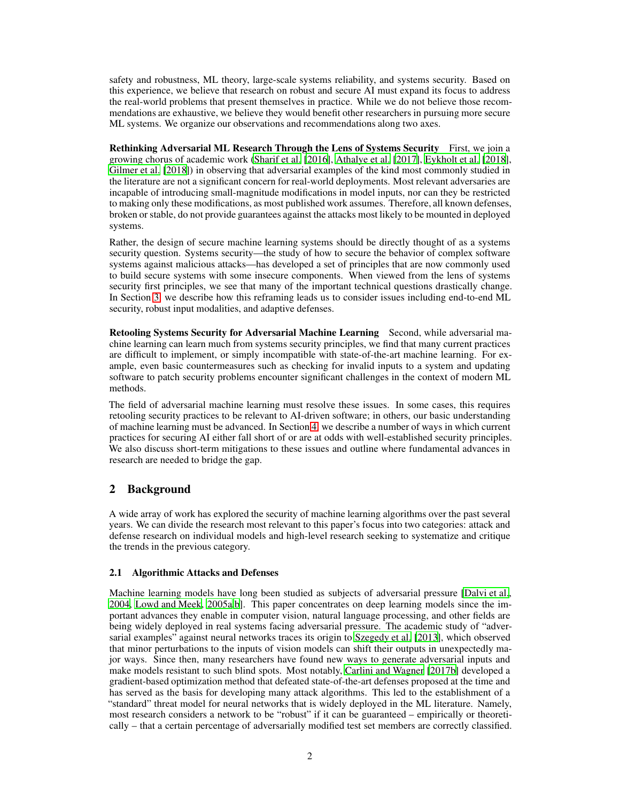safety and robustness, ML theory, large-scale systems reliability, and systems security. Based on this experience, we believe that research on robust and secure AI must expand its focus to address the real-world problems that present themselves in practice. While we do not believe those recommendations are exhaustive, we believe they would benefit other researchers in pursuing more secure ML systems. We organize our observations and recommendations along two axes.

Rethinking Adversarial ML Research Through the Lens of Systems Security First, we join a growing chorus of academic work [\(Sharif et al. \[2016\]](#page-10-0), [Athalye et al.](#page-8-0) [\[2017\]](#page-8-0), [Eykholt et al.](#page-9-0) [\[2018\]](#page-9-0), [Gilmer et al. \[2018](#page-9-1)]) in observing that adversarial examples of the kind most commonly studied in the literature are not a significant concern for real-world deployments. Most relevant adversaries are incapable of introducing small-magnitude modifications in model inputs, nor can they be restricted to making only these modifications, as most published work assumes. Therefore, all known defenses, broken or stable, do not provide guarantees against the attacks most likely to be mounted in deployed systems.

Rather, the design of secure machine learning systems should be directly thought of as a systems security question. Systems security—the study of how to secure the behavior of complex software systems against malicious attacks—has developed a set of principles that are now commonly used to build secure systems with some insecure components. When viewed from the lens of systems security first principles, we see that many of the important technical questions drastically change. In Section [3,](#page-2-0) we describe how this reframing leads us to consider issues including end-to-end ML security, robust input modalities, and adaptive defenses.

Retooling Systems Security for Adversarial Machine Learning Second, while adversarial machine learning can learn much from systems security principles, we find that many current practices are difficult to implement, or simply incompatible with state-of-the-art machine learning. For example, even basic countermeasures such as checking for invalid inputs to a system and updating software to patch security problems encounter significant challenges in the context of modern ML methods.

The field of adversarial machine learning must resolve these issues. In some cases, this requires retooling security practices to be relevant to AI-driven software; in others, our basic understanding of machine learning must be advanced. In Section [4,](#page-5-0) we describe a number of ways in which current practices for securing AI either fall short of or are at odds with well-established security principles. We also discuss short-term mitigations to these issues and outline where fundamental advances in research are needed to bridge the gap.

# 2 Background

A wide array of work has explored the security of machine learning algorithms over the past several years. We can divide the research most relevant to this paper's focus into two categories: attack and defense research on individual models and high-level research seeking to systematize and critique the trends in the previous category.

## 2.1 Algorithmic Attacks and Defenses

Machine learning models have long been studied as subjects of adversarial pressure [\[Dalvi et al.,](#page-9-2) [2004,](#page-9-2) [Lowd and Meek, 2005a](#page-9-3)[,b\]](#page-9-4). This paper concentrates on deep learning models since the important advances they enable in computer vision, natural language processing, and other fields are being widely deployed in real systems facing adversarial pressure. The academic study of "adversarial examples" against neural networks traces its origin to [Szegedy et al. \[2013\]](#page-10-1), which observed that minor perturbations to the inputs of vision models can shift their outputs in unexpectedly major ways. Since then, many researchers have found new ways to generate adversarial inputs and make models resistant to such blind spots. Most notably, [Carlini and Wagner \[2017b\]](#page-9-5) developed a gradient-based optimization method that defeated state-of-the-art defenses proposed at the time and has served as the basis for developing many attack algorithms. This led to the establishment of a "standard" threat model for neural networks that is widely deployed in the ML literature. Namely, most research considers a network to be "robust" if it can be guaranteed – empirically or theoretically – that a certain percentage of adversarially modified test set members are correctly classified.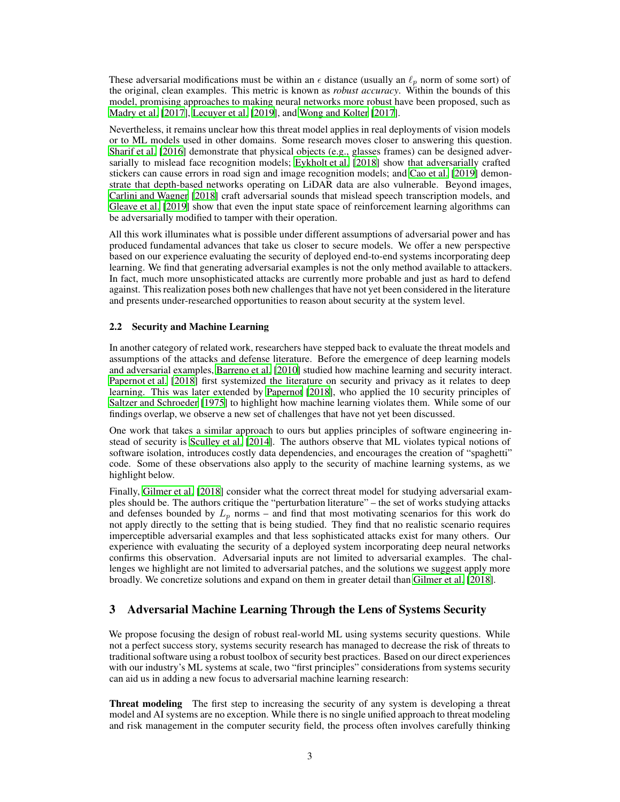These adversarial modifications must be within an  $\epsilon$  distance (usually an  $\ell_p$  norm of some sort) of the original, clean examples. This metric is known as *robust accuracy*. Within the bounds of this model, promising approaches to making neural networks more robust have been proposed, such as [Madry et al. \[2017](#page-9-6)], [Lecuyer et al.](#page-9-7) [\[2019\]](#page-9-7), and [Wong and Kolter](#page-10-2) [\[2017\]](#page-10-2).

Nevertheless, it remains unclear how this threat model applies in real deployments of vision models or to ML models used in other domains. Some research moves closer to answering this question. [Sharif et al.](#page-10-0) [\[2016\]](#page-10-0) demonstrate that physical objects (e.g., glasses frames) can be designed adversarially to mislead face recognition models; [Eykholt et al.](#page-9-0) [\[2018\]](#page-9-0) show that adversarially crafted stickers can cause errors in road sign and image recognition models; and [Cao et al. \[2019\]](#page-8-1) demonstrate that depth-based networks operating on LiDAR data are also vulnerable. Beyond images, [Carlini and Wagner \[2018\]](#page-9-8) craft adversarial sounds that mislead speech transcription models, and [Gleave et al. \[2019\]](#page-9-9) show that even the input state space of reinforcement learning algorithms can be adversarially modified to tamper with their operation.

All this work illuminates what is possible under different assumptions of adversarial power and has produced fundamental advances that take us closer to secure models. We offer a new perspective based on our experience evaluating the security of deployed end-to-end systems incorporating deep learning. We find that generating adversarial examples is not the only method available to attackers. In fact, much more unsophisticated attacks are currently more probable and just as hard to defend against. This realization poses both new challenges that have not yet been considered in the literature and presents under-researched opportunities to reason about security at the system level.

#### 2.2 Security and Machine Learning

In another category of related work, researchers have stepped back to evaluate the threat models and assumptions of the attacks and defense literature. Before the emergence of deep learning models and adversarial examples, [Barreno et al.](#page-8-2) [\[2010\]](#page-8-2) studied how machine learning and security interact. [Papernot et al. \[2018](#page-9-10)] first systemized the literature on security and privacy as it relates to deep learning. This was later extended by [Papernot](#page-9-11) [\[2018\]](#page-9-11), who applied the 10 security principles of [Saltzer and Schroeder](#page-10-3) [\[1975\]](#page-10-3) to highlight how machine learning violates them. While some of our findings overlap, we observe a new set of challenges that have not yet been discussed.

One work that takes a similar approach to ours but applies principles of software engineering instead of security is [Sculley et al. \[2014\]](#page-10-4). The authors observe that ML violates typical notions of software isolation, introduces costly data dependencies, and encourages the creation of "spaghetti" code. Some of these observations also apply to the security of machine learning systems, as we highlight below.

Finally, [Gilmer et al.](#page-9-1) [\[2018\]](#page-9-1) consider what the correct threat model for studying adversarial examples should be. The authors critique the "perturbation literature" – the set of works studying attacks and defenses bounded by  $L_p$  norms – and find that most motivating scenarios for this work do not apply directly to the setting that is being studied. They find that no realistic scenario requires imperceptible adversarial examples and that less sophisticated attacks exist for many others. Our experience with evaluating the security of a deployed system incorporating deep neural networks confirms this observation. Adversarial inputs are not limited to adversarial examples. The challenges we highlight are not limited to adversarial patches, and the solutions we suggest apply more broadly. We concretize solutions and expand on them in greater detail than [Gilmer et al. \[2018](#page-9-1)].

# <span id="page-2-0"></span>3 Adversarial Machine Learning Through the Lens of Systems Security

We propose focusing the design of robust real-world ML using systems security questions. While not a perfect success story, systems security research has managed to decrease the risk of threats to traditional software using a robust toolbox of security best practices. Based on our direct experiences with our industry's ML systems at scale, two "first principles" considerations from systems security can aid us in adding a new focus to adversarial machine learning research:

Threat modeling The first step to increasing the security of any system is developing a threat model and AI systems are no exception. While there is no single unified approach to threat modeling and risk management in the computer security field, the process often involves carefully thinking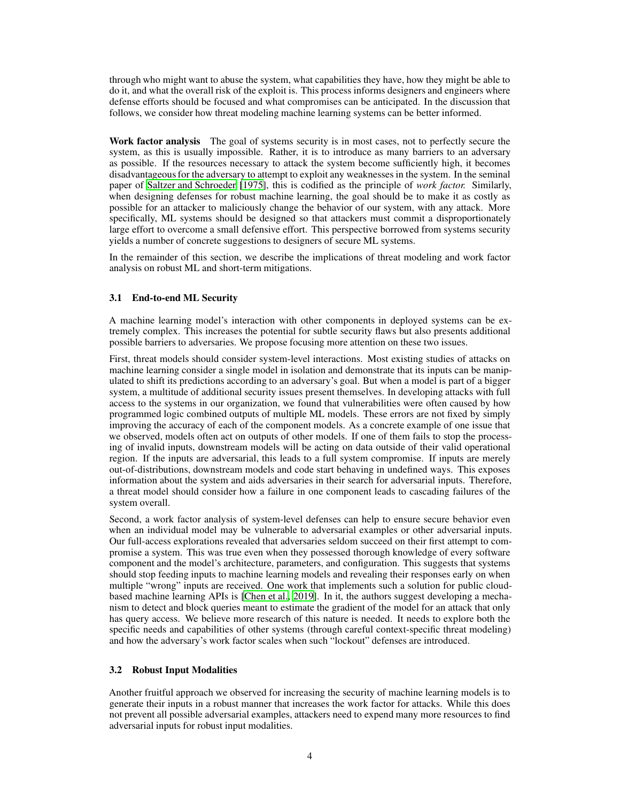through who might want to abuse the system, what capabilities they have, how they might be able to do it, and what the overall risk of the exploit is. This process informs designers and engineers where defense efforts should be focused and what compromises can be anticipated. In the discussion that follows, we consider how threat modeling machine learning systems can be better informed.

Work factor analysis The goal of systems security is in most cases, not to perfectly secure the system, as this is usually impossible. Rather, it is to introduce as many barriers to an adversary as possible. If the resources necessary to attack the system become sufficiently high, it becomes disadvantageous for the adversary to attempt to exploit any weaknesses in the system. In the seminal paper of [Saltzer and Schroeder \[1975\]](#page-10-3), this is codified as the principle of *work factor.* Similarly, when designing defenses for robust machine learning, the goal should be to make it as costly as possible for an attacker to maliciously change the behavior of our system, with any attack. More specifically, ML systems should be designed so that attackers must commit a disproportionately large effort to overcome a small defensive effort. This perspective borrowed from systems security yields a number of concrete suggestions to designers of secure ML systems.

In the remainder of this section, we describe the implications of threat modeling and work factor analysis on robust ML and short-term mitigations.

#### 3.1 End-to-end ML Security

A machine learning model's interaction with other components in deployed systems can be extremely complex. This increases the potential for subtle security flaws but also presents additional possible barriers to adversaries. We propose focusing more attention on these two issues.

First, threat models should consider system-level interactions. Most existing studies of attacks on machine learning consider a single model in isolation and demonstrate that its inputs can be manipulated to shift its predictions according to an adversary's goal. But when a model is part of a bigger system, a multitude of additional security issues present themselves. In developing attacks with full access to the systems in our organization, we found that vulnerabilities were often caused by how programmed logic combined outputs of multiple ML models. These errors are not fixed by simply improving the accuracy of each of the component models. As a concrete example of one issue that we observed, models often act on outputs of other models. If one of them fails to stop the processing of invalid inputs, downstream models will be acting on data outside of their valid operational region. If the inputs are adversarial, this leads to a full system compromise. If inputs are merely out-of-distributions, downstream models and code start behaving in undefined ways. This exposes information about the system and aids adversaries in their search for adversarial inputs. Therefore, a threat model should consider how a failure in one component leads to cascading failures of the system overall.

Second, a work factor analysis of system-level defenses can help to ensure secure behavior even when an individual model may be vulnerable to adversarial examples or other adversarial inputs. Our full-access explorations revealed that adversaries seldom succeed on their first attempt to compromise a system. This was true even when they possessed thorough knowledge of every software component and the model's architecture, parameters, and configuration. This suggests that systems should stop feeding inputs to machine learning models and revealing their responses early on when multiple "wrong" inputs are received. One work that implements such a solution for public cloudbased machine learning APIs is [\[Chen et al.](#page-9-12), [2019\]](#page-9-12). In it, the authors suggest developing a mechanism to detect and block queries meant to estimate the gradient of the model for an attack that only has query access. We believe more research of this nature is needed. It needs to explore both the specific needs and capabilities of other systems (through careful context-specific threat modeling) and how the adversary's work factor scales when such "lockout" defenses are introduced.

#### 3.2 Robust Input Modalities

Another fruitful approach we observed for increasing the security of machine learning models is to generate their inputs in a robust manner that increases the work factor for attacks. While this does not prevent all possible adversarial examples, attackers need to expend many more resources to find adversarial inputs for robust input modalities.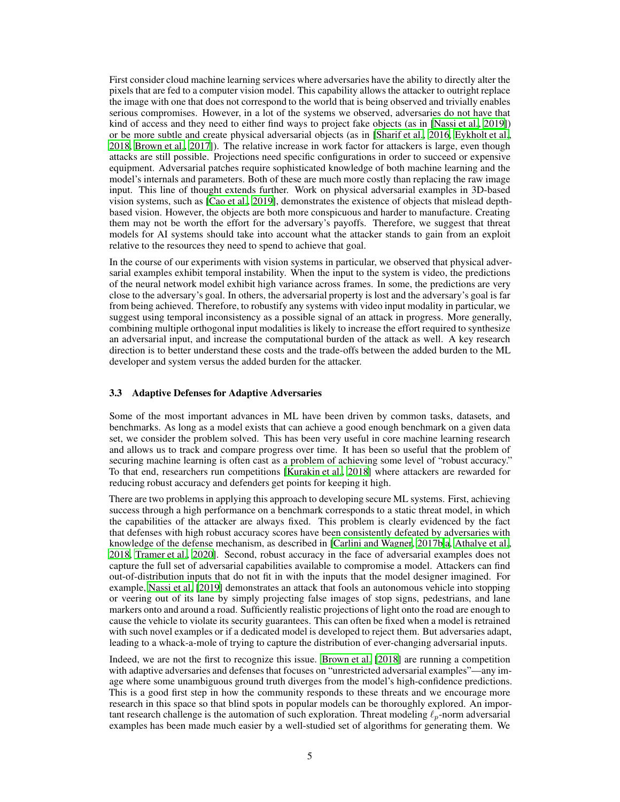First consider cloud machine learning services where adversaries have the ability to directly alter the pixels that are fed to a computer vision model. This capability allows the attacker to outright replace the image with one that does not correspond to the world that is being observed and trivially enables serious compromises. However, in a lot of the systems we observed, adversaries do not have that kind of access and they need to either find ways to project fake objects (as in [\[Nassi et al., 2019](#page-9-13)]) or be more subtle and create physical adversarial objects (as in [\[Sharif et al., 2016,](#page-10-0) [Eykholt et al.,](#page-9-0) [2018,](#page-9-0) [Brown et al.](#page-8-3), [2017\]](#page-8-3)). The relative increase in work factor for attackers is large, even though attacks are still possible. Projections need specific configurations in order to succeed or expensive equipment. Adversarial patches require sophisticated knowledge of both machine learning and the model's internals and parameters. Both of these are much more costly than replacing the raw image input. This line of thought extends further. Work on physical adversarial examples in 3D-based vision systems, such as [\[Cao et al.](#page-8-1), [2019\]](#page-8-1), demonstrates the existence of objects that mislead depthbased vision. However, the objects are both more conspicuous and harder to manufacture. Creating them may not be worth the effort for the adversary's payoffs. Therefore, we suggest that threat models for AI systems should take into account what the attacker stands to gain from an exploit relative to the resources they need to spend to achieve that goal.

In the course of our experiments with vision systems in particular, we observed that physical adversarial examples exhibit temporal instability. When the input to the system is video, the predictions of the neural network model exhibit high variance across frames. In some, the predictions are very close to the adversary's goal. In others, the adversarial property is lost and the adversary's goal is far from being achieved. Therefore, to robustify any systems with video input modality in particular, we suggest using temporal inconsistency as a possible signal of an attack in progress. More generally, combining multiple orthogonal input modalities is likely to increase the effort required to synthesize an adversarial input, and increase the computational burden of the attack as well. A key research direction is to better understand these costs and the trade-offs between the added burden to the ML developer and system versus the added burden for the attacker.

#### 3.3 Adaptive Defenses for Adaptive Adversaries

Some of the most important advances in ML have been driven by common tasks, datasets, and benchmarks. As long as a model exists that can achieve a good enough benchmark on a given data set, we consider the problem solved. This has been very useful in core machine learning research and allows us to track and compare progress over time. It has been so useful that the problem of securing machine learning is often cast as a problem of achieving some level of "robust accuracy." To that end, researchers run competitions [\[Kurakin et al., 2018\]](#page-9-14) where attackers are rewarded for reducing robust accuracy and defenders get points for keeping it high.

There are two problems in applying this approach to developing secure ML systems. First, achieving success through a high performance on a benchmark corresponds to a static threat model, in which the capabilities of the attacker are always fixed. This problem is clearly evidenced by the fact that defenses with high robust accuracy scores have been consistently defeated by adversaries with knowledge of the defense mechanism, as described in [\[Carlini and Wagner](#page-9-5), [2017b](#page-9-5)[,a](#page-8-4), [Athalye et al.,](#page-8-5) [2018,](#page-8-5) [Tramer et al., 2020\]](#page-10-5). Second, robust accuracy in the face of adversarial examples does not capture the full set of adversarial capabilities available to compromise a model. Attackers can find out-of-distribution inputs that do not fit in with the inputs that the model designer imagined. For example, [Nassi et al.](#page-9-13) [\[2019\]](#page-9-13) demonstrates an attack that fools an autonomous vehicle into stopping or veering out of its lane by simply projecting false images of stop signs, pedestrians, and lane markers onto and around a road. Sufficiently realistic projections of light onto the road are enough to cause the vehicle to violate its security guarantees. This can often be fixed when a model is retrained with such novel examples or if a dedicated model is developed to reject them. But adversaries adapt, leading to a whack-a-mole of trying to capture the distribution of ever-changing adversarial inputs.

Indeed, we are not the first to recognize this issue. [Brown et al. \[2018](#page-8-6)] are running a competition with adaptive adversaries and defenses that focuses on "unrestricted adversarial examples"—any image where some unambiguous ground truth diverges from the model's high-confidence predictions. This is a good first step in how the community responds to these threats and we encourage more research in this space so that blind spots in popular models can be thoroughly explored. An important research challenge is the automation of such exploration. Threat modeling  $\ell_p$ -norm adversarial examples has been made much easier by a well-studied set of algorithms for generating them. We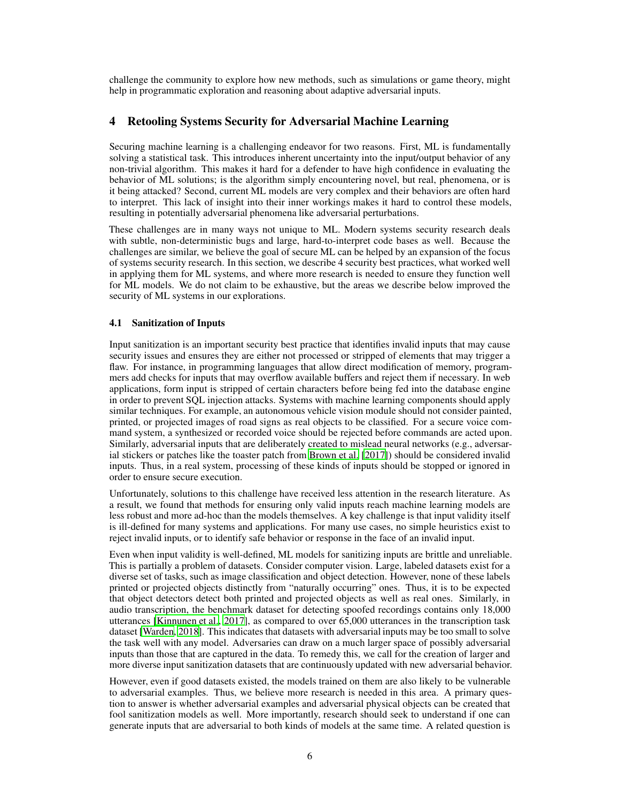challenge the community to explore how new methods, such as simulations or game theory, might help in programmatic exploration and reasoning about adaptive adversarial inputs.

#### <span id="page-5-0"></span>4 Retooling Systems Security for Adversarial Machine Learning

Securing machine learning is a challenging endeavor for two reasons. First, ML is fundamentally solving a statistical task. This introduces inherent uncertainty into the input/output behavior of any non-trivial algorithm. This makes it hard for a defender to have high confidence in evaluating the behavior of ML solutions; is the algorithm simply encountering novel, but real, phenomena, or is it being attacked? Second, current ML models are very complex and their behaviors are often hard to interpret. This lack of insight into their inner workings makes it hard to control these models, resulting in potentially adversarial phenomena like adversarial perturbations.

These challenges are in many ways not unique to ML. Modern systems security research deals with subtle, non-deterministic bugs and large, hard-to-interpret code bases as well. Because the challenges are similar, we believe the goal of secure ML can be helped by an expansion of the focus of systems security research. In this section, we describe 4 security best practices, what worked well in applying them for ML systems, and where more research is needed to ensure they function well for ML models. We do not claim to be exhaustive, but the areas we describe below improved the security of ML systems in our explorations.

#### 4.1 Sanitization of Inputs

Input sanitization is an important security best practice that identifies invalid inputs that may cause security issues and ensures they are either not processed or stripped of elements that may trigger a flaw. For instance, in programming languages that allow direct modification of memory, programmers add checks for inputs that may overflow available buffers and reject them if necessary. In web applications, form input is stripped of certain characters before being fed into the database engine in order to prevent SQL injection attacks. Systems with machine learning components should apply similar techniques. For example, an autonomous vehicle vision module should not consider painted, printed, or projected images of road signs as real objects to be classified. For a secure voice command system, a synthesized or recorded voice should be rejected before commands are acted upon. Similarly, adversarial inputs that are deliberately created to mislead neural networks (e.g., adversarial stickers or patches like the toaster patch from [Brown et al. \[2017\]](#page-8-3)) should be considered invalid inputs. Thus, in a real system, processing of these kinds of inputs should be stopped or ignored in order to ensure secure execution.

Unfortunately, solutions to this challenge have received less attention in the research literature. As a result, we found that methods for ensuring only valid inputs reach machine learning models are less robust and more ad-hoc than the models themselves. A key challenge is that input validity itself is ill-defined for many systems and applications. For many use cases, no simple heuristics exist to reject invalid inputs, or to identify safe behavior or response in the face of an invalid input.

Even when input validity is well-defined, ML models for sanitizing inputs are brittle and unreliable. This is partially a problem of datasets. Consider computer vision. Large, labeled datasets exist for a diverse set of tasks, such as image classification and object detection. However, none of these labels printed or projected objects distinctly from "naturally occurring" ones. Thus, it is to be expected that object detectors detect both printed and projected objects as well as real ones. Similarly, in audio transcription, the benchmark dataset for detecting spoofed recordings contains only 18,000 utterances [\[Kinnunen et al., 2017\]](#page-9-15), as compared to over 65,000 utterances in the transcription task dataset [\[Warden, 2018](#page-10-6)]. This indicates that datasets with adversarial inputs may be too small to solve the task well with any model. Adversaries can draw on a much larger space of possibly adversarial inputs than those that are captured in the data. To remedy this, we call for the creation of larger and more diverse input sanitization datasets that are continuously updated with new adversarial behavior.

However, even if good datasets existed, the models trained on them are also likely to be vulnerable to adversarial examples. Thus, we believe more research is needed in this area. A primary question to answer is whether adversarial examples and adversarial physical objects can be created that fool sanitization models as well. More importantly, research should seek to understand if one can generate inputs that are adversarial to both kinds of models at the same time. A related question is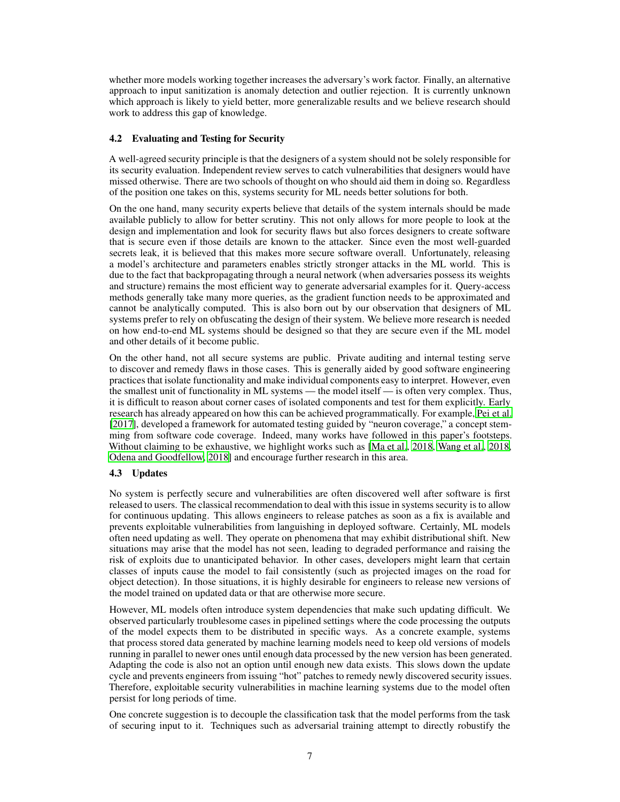whether more models working together increases the adversary's work factor. Finally, an alternative approach to input sanitization is anomaly detection and outlier rejection. It is currently unknown which approach is likely to yield better, more generalizable results and we believe research should work to address this gap of knowledge.

#### 4.2 Evaluating and Testing for Security

A well-agreed security principle is that the designers of a system should not be solely responsible for its security evaluation. Independent review serves to catch vulnerabilities that designers would have missed otherwise. There are two schools of thought on who should aid them in doing so. Regardless of the position one takes on this, systems security for ML needs better solutions for both.

On the one hand, many security experts believe that details of the system internals should be made available publicly to allow for better scrutiny. This not only allows for more people to look at the design and implementation and look for security flaws but also forces designers to create software that is secure even if those details are known to the attacker. Since even the most well-guarded secrets leak, it is believed that this makes more secure software overall. Unfortunately, releasing a model's architecture and parameters enables strictly stronger attacks in the ML world. This is due to the fact that backpropagating through a neural network (when adversaries possess its weights and structure) remains the most efficient way to generate adversarial examples for it. Query-access methods generally take many more queries, as the gradient function needs to be approximated and cannot be analytically computed. This is also born out by our observation that designers of ML systems prefer to rely on obfuscating the design of their system. We believe more research is needed on how end-to-end ML systems should be designed so that they are secure even if the ML model and other details of it become public.

On the other hand, not all secure systems are public. Private auditing and internal testing serve to discover and remedy flaws in those cases. This is generally aided by good software engineering practices that isolate functionality and make individual components easy to interpret. However, even the smallest unit of functionality in ML systems — the model itself — is often very complex. Thus, it is difficult to reason about corner cases of isolated components and test for them explicitly. Early research has already appeared on how this can be achieved programmatically. For example, [Pei et al.](#page-10-7) [\[2017\]](#page-10-7), developed a framework for automated testing guided by "neuron coverage," a concept stemming from software code coverage. Indeed, many works have followed in this paper's footsteps. Without claiming to be exhaustive, we highlight works such as [\[Ma et al.](#page-9-16), [2018](#page-9-16), [Wang et al.](#page-10-8), [2018,](#page-10-8) [Odena and Goodfellow, 2018\]](#page-9-17) and encourage further research in this area.

## 4.3 Updates

No system is perfectly secure and vulnerabilities are often discovered well after software is first released to users. The classical recommendation to deal with this issue in systems security is to allow for continuous updating. This allows engineers to release patches as soon as a fix is available and prevents exploitable vulnerabilities from languishing in deployed software. Certainly, ML models often need updating as well. They operate on phenomena that may exhibit distributional shift. New situations may arise that the model has not seen, leading to degraded performance and raising the risk of exploits due to unanticipated behavior. In other cases, developers might learn that certain classes of inputs cause the model to fail consistently (such as projected images on the road for object detection). In those situations, it is highly desirable for engineers to release new versions of the model trained on updated data or that are otherwise more secure.

However, ML models often introduce system dependencies that make such updating difficult. We observed particularly troublesome cases in pipelined settings where the code processing the outputs of the model expects them to be distributed in specific ways. As a concrete example, systems that process stored data generated by machine learning models need to keep old versions of models running in parallel to newer ones until enough data processed by the new version has been generated. Adapting the code is also not an option until enough new data exists. This slows down the update cycle and prevents engineers from issuing "hot" patches to remedy newly discovered security issues. Therefore, exploitable security vulnerabilities in machine learning systems due to the model often persist for long periods of time.

One concrete suggestion is to decouple the classification task that the model performs from the task of securing input to it. Techniques such as adversarial training attempt to directly robustify the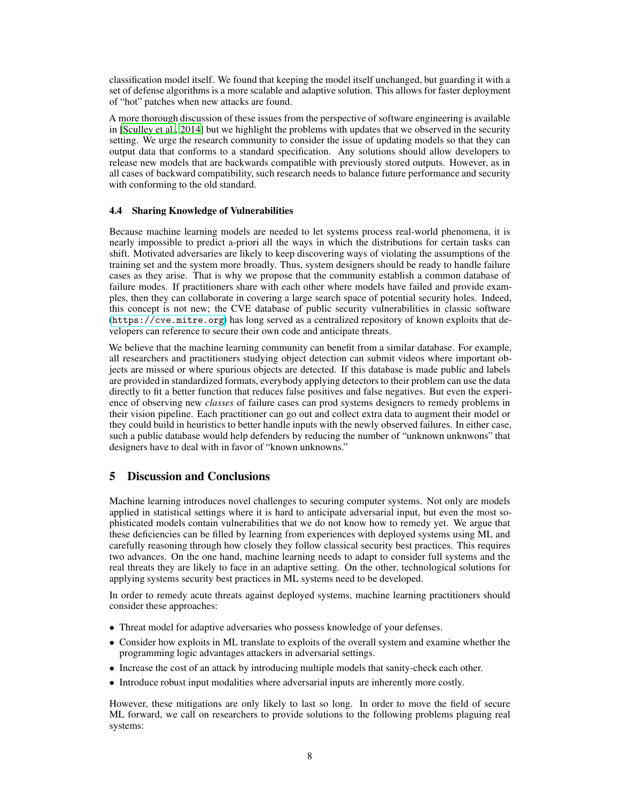classification model itself. We found that keeping the model itself unchanged, but guarding it with a set of defense algorithms is a more scalable and adaptive solution. This allows for faster deployment of "hot" patches when new attacks are found.

A more thorough discussion of these issues from the perspective of software engineering is available in [\[Sculley et al.](#page-10-4), [2014\]](#page-10-4) but we highlight the problems with updates that we observed in the security setting. We urge the research community to consider the issue of updating models so that they can output data that conforms to a standard specification. Any solutions should allow developers to release new models that are backwards compatible with previously stored outputs. However, as in all cases of backward compatibility, such research needs to balance future performance and security with conforming to the old standard.

#### 4.4 Sharing Knowledge of Vulnerabilities

Because machine learning models are needed to let systems process real-world phenomena, it is nearly impossible to predict a-priori all the ways in which the distributions for certain tasks can shift. Motivated adversaries are likely to keep discovering ways of violating the assumptions of the training set and the system more broadly. Thus, system designers should be ready to handle failure cases as they arise. That is why we propose that the community establish a common database of failure modes. If practitioners share with each other where models have failed and provide examples, then they can collaborate in covering a large search space of potential security holes. Indeed, this concept is not new; the CVE database of public security vulnerabilities in classic software (<https://cve.mitre.org>) has long served as a centralized repository of known exploits that developers can reference to secure their own code and anticipate threats.

We believe that the machine learning community can benefit from a similar database. For example, all researchers and practitioners studying object detection can submit videos where important objects are missed or where spurious objects are detected. If this database is made public and labels are provided in standardized formats, everybody applying detectors to their problem can use the data directly to fit a better function that reduces false positives and false negatives. But even the experience of observing new *classes* of failure cases can prod systems designers to remedy problems in their vision pipeline. Each practitioner can go out and collect extra data to augment their model or they could build in heuristics to better handle inputs with the newly observed failures. In either case, such a public database would help defenders by reducing the number of "unknown unknwons" that designers have to deal with in favor of "known unknowns."

# 5 Discussion and Conclusions

Machine learning introduces novel challenges to securing computer systems. Not only are models applied in statistical settings where it is hard to anticipate adversarial input, but even the most sophisticated models contain vulnerabilities that we do not know how to remedy yet. We argue that these deficiencies can be filled by learning from experiences with deployed systems using ML and carefully reasoning through how closely they follow classical security best practices. This requires two advances. On the one hand, machine learning needs to adapt to consider full systems and the real threats they are likely to face in an adaptive setting. On the other, technological solutions for applying systems security best practices in ML systems need to be developed.

In order to remedy acute threats against deployed systems, machine learning practitioners should consider these approaches:

- Threat model for adaptive adversaries who possess knowledge of your defenses.
- Consider how exploits in ML translate to exploits of the overall system and examine whether the programming logic advantages attackers in adversarial settings.
- Increase the cost of an attack by introducing multiple models that sanity-check each other.
- Introduce robust input modalities where adversarial inputs are inherently more costly.

However, these mitigations are only likely to last so long. In order to move the field of secure ML forward, we call on researchers to provide solutions to the following problems plaguing real systems: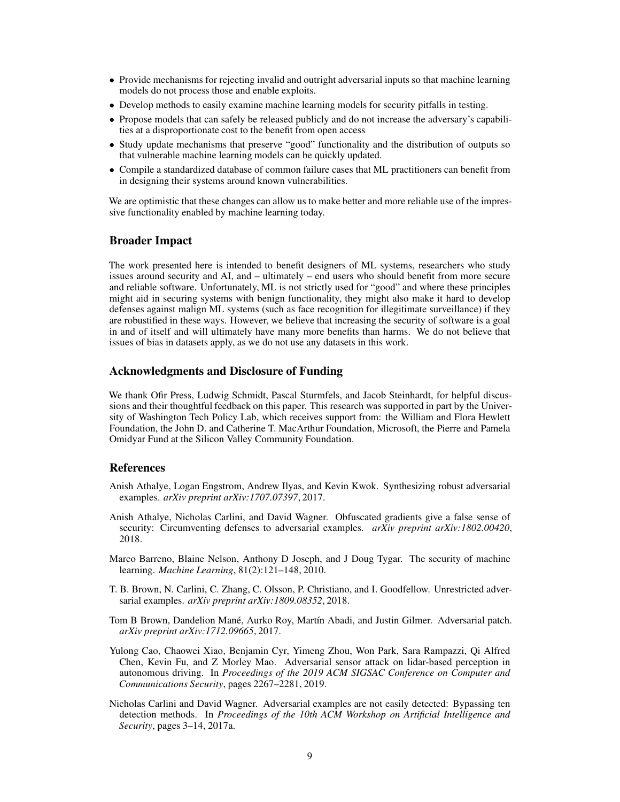- Provide mechanisms for rejecting invalid and outright adversarial inputs so that machine learning models do not process those and enable exploits.
- Develop methods to easily examine machine learning models for security pitfalls in testing.
- Propose models that can safely be released publicly and do not increase the adversary's capabilities at a disproportionate cost to the benefit from open access
- Study update mechanisms that preserve "good" functionality and the distribution of outputs so that vulnerable machine learning models can be quickly updated.
- Compile a standardized database of common failure cases that ML practitioners can benefit from in designing their systems around known vulnerabilities.

We are optimistic that these changes can allow us to make better and more reliable use of the impressive functionality enabled by machine learning today.

#### Broader Impact

The work presented here is intended to benefit designers of ML systems, researchers who study issues around security and AI, and – ultimately – end users who should benefit from more secure and reliable software. Unfortunately, ML is not strictly used for "good" and where these principles might aid in securing systems with benign functionality, they might also make it hard to develop defenses against malign ML systems (such as face recognition for illegitimate surveillance) if they are robustified in these ways. However, we believe that increasing the security of software is a goal in and of itself and will ultimately have many more benefits than harms. We do not believe that issues of bias in datasets apply, as we do not use any datasets in this work.

#### Acknowledgments and Disclosure of Funding

We thank Ofir Press, Ludwig Schmidt, Pascal Sturmfels, and Jacob Steinhardt, for helpful discussions and their thoughtful feedback on this paper. This research was supported in part by the University of Washington Tech Policy Lab, which receives support from: the William and Flora Hewlett Foundation, the John D. and Catherine T. MacArthur Foundation, Microsoft, the Pierre and Pamela Omidyar Fund at the Silicon Valley Community Foundation.

## References

- <span id="page-8-0"></span>Anish Athalye, Logan Engstrom, Andrew Ilyas, and Kevin Kwok. Synthesizing robust adversarial examples. *arXiv preprint arXiv:1707.07397*, 2017.
- <span id="page-8-5"></span>Anish Athalye, Nicholas Carlini, and David Wagner. Obfuscated gradients give a false sense of security: Circumventing defenses to adversarial examples. *arXiv preprint arXiv:1802.00420*, 2018.
- <span id="page-8-2"></span>Marco Barreno, Blaine Nelson, Anthony D Joseph, and J Doug Tygar. The security of machine learning. *Machine Learning*, 81(2):121–148, 2010.
- <span id="page-8-6"></span>T. B. Brown, N. Carlini, C. Zhang, C. Olsson, P. Christiano, and I. Goodfellow. Unrestricted adversarial examples. *arXiv preprint arXiv:1809.08352*, 2018.
- <span id="page-8-3"></span>Tom B Brown, Dandelion Mané, Aurko Roy, Martín Abadi, and Justin Gilmer. Adversarial patch. *arXiv preprint arXiv:1712.09665*, 2017.
- <span id="page-8-1"></span>Yulong Cao, Chaowei Xiao, Benjamin Cyr, Yimeng Zhou, Won Park, Sara Rampazzi, Qi Alfred Chen, Kevin Fu, and Z Morley Mao. Adversarial sensor attack on lidar-based perception in autonomous driving. In *Proceedings of the 2019 ACM SIGSAC Conference on Computer and Communications Security*, pages 2267–2281, 2019.
- <span id="page-8-4"></span>Nicholas Carlini and David Wagner. Adversarial examples are not easily detected: Bypassing ten detection methods. In *Proceedings of the 10th ACM Workshop on Artificial Intelligence and Security*, pages 3–14, 2017a.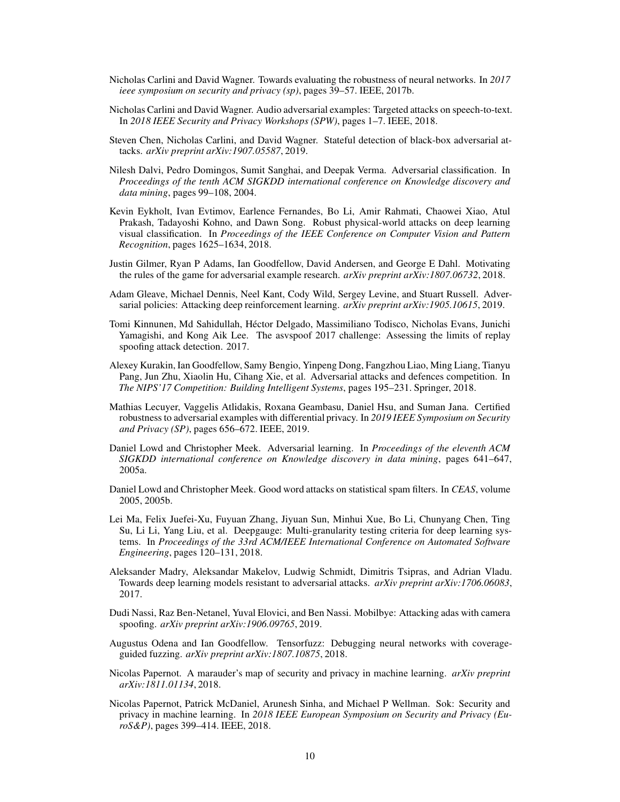- <span id="page-9-5"></span>Nicholas Carlini and David Wagner. Towards evaluating the robustness of neural networks. In *2017 ieee symposium on security and privacy (sp)*, pages 39–57. IEEE, 2017b.
- <span id="page-9-8"></span>Nicholas Carlini and David Wagner. Audio adversarial examples: Targeted attacks on speech-to-text. In *2018 IEEE Security and Privacy Workshops (SPW)*, pages 1–7. IEEE, 2018.
- <span id="page-9-12"></span>Steven Chen, Nicholas Carlini, and David Wagner. Stateful detection of black-box adversarial attacks. *arXiv preprint arXiv:1907.05587*, 2019.
- <span id="page-9-2"></span>Nilesh Dalvi, Pedro Domingos, Sumit Sanghai, and Deepak Verma. Adversarial classification. In *Proceedings of the tenth ACM SIGKDD international conference on Knowledge discovery and data mining*, pages 99–108, 2004.
- <span id="page-9-0"></span>Kevin Eykholt, Ivan Evtimov, Earlence Fernandes, Bo Li, Amir Rahmati, Chaowei Xiao, Atul Prakash, Tadayoshi Kohno, and Dawn Song. Robust physical-world attacks on deep learning visual classification. In *Proceedings of the IEEE Conference on Computer Vision and Pattern Recognition*, pages 1625–1634, 2018.
- <span id="page-9-1"></span>Justin Gilmer, Ryan P Adams, Ian Goodfellow, David Andersen, and George E Dahl. Motivating the rules of the game for adversarial example research. *arXiv preprint arXiv:1807.06732*, 2018.
- <span id="page-9-9"></span>Adam Gleave, Michael Dennis, Neel Kant, Cody Wild, Sergey Levine, and Stuart Russell. Adversarial policies: Attacking deep reinforcement learning. *arXiv preprint arXiv:1905.10615*, 2019.
- <span id="page-9-15"></span>Tomi Kinnunen, Md Sahidullah, Héctor Delgado, Massimiliano Todisco, Nicholas Evans, Junichi Yamagishi, and Kong Aik Lee. The asvspoof 2017 challenge: Assessing the limits of replay spoofing attack detection. 2017.
- <span id="page-9-14"></span>Alexey Kurakin, Ian Goodfellow, Samy Bengio, Yinpeng Dong, Fangzhou Liao, Ming Liang, Tianyu Pang, Jun Zhu, Xiaolin Hu, Cihang Xie, et al. Adversarial attacks and defences competition. In *The NIPS'17 Competition: Building Intelligent Systems*, pages 195–231. Springer, 2018.
- <span id="page-9-7"></span>Mathias Lecuyer, Vaggelis Atlidakis, Roxana Geambasu, Daniel Hsu, and Suman Jana. Certified robustness to adversarial examples with differential privacy. In *2019 IEEE Symposium on Security and Privacy (SP)*, pages 656–672. IEEE, 2019.
- <span id="page-9-3"></span>Daniel Lowd and Christopher Meek. Adversarial learning. In *Proceedings of the eleventh ACM SIGKDD international conference on Knowledge discovery in data mining*, pages 641–647, 2005a.
- <span id="page-9-4"></span>Daniel Lowd and Christopher Meek. Good word attacks on statistical spam filters. In *CEAS*, volume 2005, 2005b.
- <span id="page-9-16"></span>Lei Ma, Felix Juefei-Xu, Fuyuan Zhang, Jiyuan Sun, Minhui Xue, Bo Li, Chunyang Chen, Ting Su, Li Li, Yang Liu, et al. Deepgauge: Multi-granularity testing criteria for deep learning systems. In *Proceedings of the 33rd ACM/IEEE International Conference on Automated Software Engineering*, pages 120–131, 2018.
- <span id="page-9-6"></span>Aleksander Madry, Aleksandar Makelov, Ludwig Schmidt, Dimitris Tsipras, and Adrian Vladu. Towards deep learning models resistant to adversarial attacks. *arXiv preprint arXiv:1706.06083*, 2017.
- <span id="page-9-13"></span>Dudi Nassi, Raz Ben-Netanel, Yuval Elovici, and Ben Nassi. Mobilbye: Attacking adas with camera spoofing. *arXiv preprint arXiv:1906.09765*, 2019.
- <span id="page-9-17"></span>Augustus Odena and Ian Goodfellow. Tensorfuzz: Debugging neural networks with coverageguided fuzzing. *arXiv preprint arXiv:1807.10875*, 2018.
- <span id="page-9-11"></span>Nicolas Papernot. A marauder's map of security and privacy in machine learning. *arXiv preprint arXiv:1811.01134*, 2018.
- <span id="page-9-10"></span>Nicolas Papernot, Patrick McDaniel, Arunesh Sinha, and Michael P Wellman. Sok: Security and privacy in machine learning. In *2018 IEEE European Symposium on Security and Privacy (EuroS&P)*, pages 399–414. IEEE, 2018.